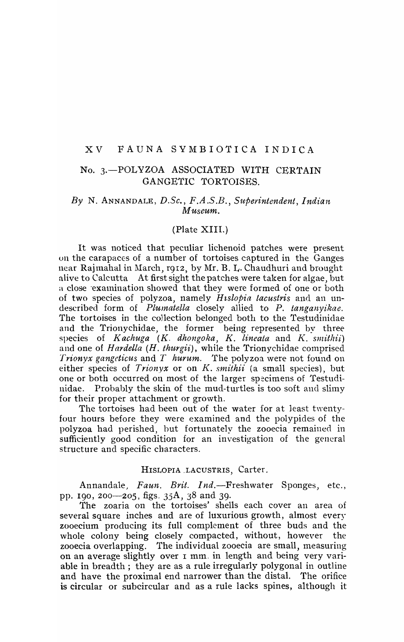# XV FAUNA SYMBIOTICA INDICA

# No. 3.-POLYZOA ASSOCIATED WITH CERTAIN GANGETIC TORTOISES.

## *By* N. ANNANDALE, *D.Se., F.A.S.B., Superintendent, Indian Museum.*

### (Plate XIII.)

It was noticed that peculiar lichenoid patches were present on the carapaces of a number of tortoises captured in the Ganges near Rajmahal in March, r912, by Mr. B. L. Chaudhuri and brought alive to Calcutta At first sight the patches were taken for aJgae, but a close examination showed that they were formed of one or both of two species of polyzoa, namely *Hislopia lacustris* and an undescribed form of *Plumatella* closely allied to P. tanganyikae. The tortoises in the collection belonged both to the Testudinidae and the Trionychidae, the former being represented by three species of *Kachuga (K. dhongoka, K. lineata* and *K. smithii*) and one of *Hardella (H. thurgii)*, while the Trionychidae comprised *Trionyx gangcticus* and *T hurum.* 'fhe polyzoa were not found on either species of *Trionyx* or on *K. smithii* (a small species), but one or both occurred on most of the larger specimens of Testudinidae. Probably the skin of the mud-turtles is too soft and slimy for their proper attachment or growth.

The tortoises had been out of the water for at least twentyfour hours before they were examined and the polypides of the polyzoa had perished, but fortunately the zooecia remained in sufficiently good condition for an investigation of the general structure and specific characters.

#### HISLOPIA . LACUSTRIS, Carter.

Annandale, *Faun. Brit. Ind.-Freshwater* Sponges, etc., pp. 190 , 200-205, figs. 35A, 38 and 39.

The zoaria on the tortoises' shells each cover an area of several square inches and are of luxurious growth, almost every zooecium producing its full complement of three buds and the whole colony being closely compacted, without, however the zooecia overlapping. The individual zooecia are small, measuring on an average slightly over I mm. in length and being very variable in breadth; they are as a rule irregularly polygonal in outline and have the proximal end narrower than the distal. The orifice is circular or subcircular and as a rule lacks spines, although it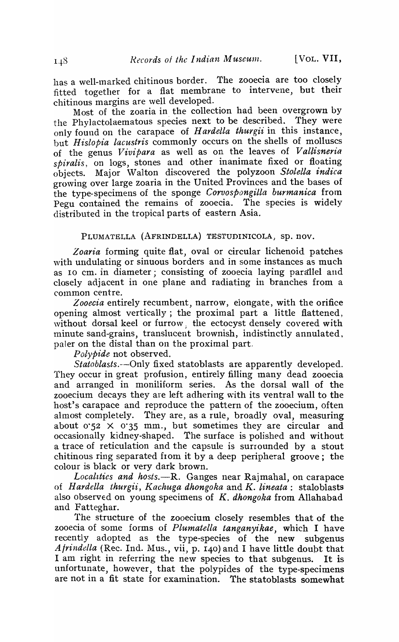has a well-marked chitinous border. The zooecia are too closely fitted together for a flat membrane to intervene, but their chitinous margins are \vell developed.

Most of the zoaria in the collection had been overgrown by the Phylactolaematous species next to be described. They were only found on the carapace of *H ardella thu'rgii* in this instance, but *H islopia lacustris* commonly occurs on the shells of molluscs of the genus *Vivipara* as well as on the leaves of *Vallisneria spiralis,* on logs, stones and other inanimate fixed or floating objects. Major 'Valton discovered the polyzoon *Stolella indica*  growing over large zoaria in the United Provinces and the bases of the type-specimens of the sponge *Corvospongilla burmanica* from Pegu contained the remains of zooecia. The species is widely distributed in the tropical parts of eastern Asia.

## PLUMATELLA (AFRINDELLA) TESTUDINICOLA, Sp. nov.

*Zoaria* forming quite flat, oval or circular lichenoid patches with undulating or sinuous borders and in some instances as much as 10 cm. in diameter; consisting of zooecia laying parallel and closely adjacent in one plane and radiating in branches from a common centre.

*Zooecia* entirely recumbent, narrow, elongate, with the orifice opening almost vertically; the proximal part a little flattened, without dorsal keel or furrow; the ectocyst densely covered with minute sand-grains, translucent brownish, indistinctly annulated, paler on the distal than on the proximal part.

*Polypide* not observed.

*Statoblasts.--Only* fixed statoblasts are apparently developed. They occur in great profusion, entirely filling many dead zooecia and arranged in moniliform series. As the dorsal wall of the zooecium decays they are left adhering \vith its ventral wall to the host's carapace and reproduce the pattern of the zooecium, often almost completely. They are, as a rule, broadly oval, measuring about  $0.52 \times 0.35$  mm., but sometimes they are circular and occasionally kidney-shaped. The surface is polished and without a trace of reticulation and the capsule is surrounded by a stout chitinous ring separated from it by a deep peripheral groove; the colour is black or very dark brown.

Localities and hosts.--R. Ganges near Rajmahal, on carapace of *Hardella thurgii, Kachuga dhongoka* and *K. lineata:* staloblasts also obserVEd on young specimens of *K. dhongoka* from Allahabad and Fatteghar.

The structure of the zooecium closely resembles that of the zooecia of some forms of *Plumatella tanganyikae,* which I have recently adopted as the type-species of the new subgenus *Afrindella* (Rec. Ind. Mus., vii, p. 140) and I have little doubt that I am right in referring the new species to that subgenus. It is unfortunate, however, that the polypides of the type-specimens are not in a fit state for examination. The statoblasts somewhat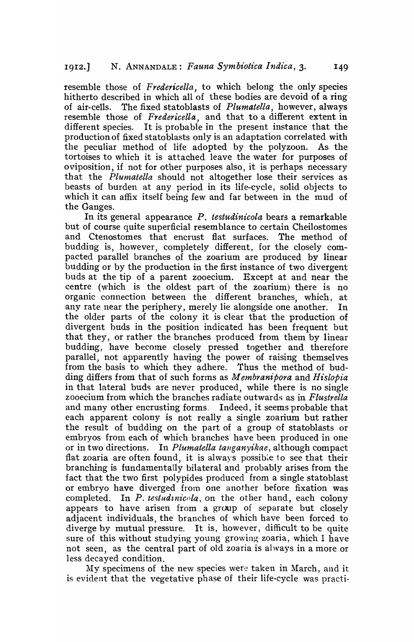resemble those of *Fredericella,* to which belong the only species hitherto described in which all of these bodies are devoid of a ring of air-cells. The fixed statoblasts of *Plumatella,* however, always resemble those of *Fredericella,* and that to a different extent in different species. It is probable in the present instance that the production of fixed statoblasts only is an adaptation correlated with the peculiar method of life adopted by the polyzoon. As the tortoises to which it is attached leave the water for purposes of oviposition, if not for other purposes also, it is perhaps necessary that the *Pluntatella* should not altogether lose their services as beasts of burden at any period in its life-cycle, solid objects to which it can affix itself being few and far between in the mud of the Ganges.

In its general appearance P. *testudinicola* bears a remarkable but of course quite superficial resemblance to certain Cheilostomes and Ctenostomes that encrust flat surfaces. The method of budding is, however, completely different, for the closely compacted parallel branches of the zoarium are produced by linear budding or by the production in the first instance of two divergent buds at the tip of a parent zooecium. Except at and near the centre (which is the oldest part of the zoarium) there is no organic connection between the different branches, which, at any rate near the periphery, merely lie alongside one another. In the older parts of the colony it is clear that the production of divergent buds in the position indicated has been frequent but that they, or rather the branches produced from them by linear budding, have become closely pressed together and therefore parallel, not apparently having the power of raising themselves from the basis to which they adhere. Thus the method of budding differs from that of such forms as *M embranipora* and *Hislapia*  in that lateral buds are never produced, while there is no single zooecium from which the branches radiate outwards as in *Flustrella*  and many other encrusting forms, Indeed, it seems probable that each apparent colony is not really a single zoarium but rather the result of budding on the part of a group of statoblasts or embryos from each of which branches have been produced in one or in two directions. In *Plumatella tanganyikae*, although compact flat zoaria are often found, it is always possib:e to see that their branching is fundamentally bilateral and probably arises from the fact that the two first polypides produced from a single statoblast or embryo have diverged from one another before fixation was completed. In *P. testudanicola*, on the other hand, each colony appears to have arisen from a group of separate but closely adjacent individuals, the branches of which have been forced to diverge by mutual pressure. It is, however, difficult to be quite sure of this without studying young growing zoaria, which I have not seen, as the central part of old zoaria is ahvays in a more or less decayed condition.

My specimens of the new species were taken in March, and it is evident that the vegetative phase of their life-cycle was practi-